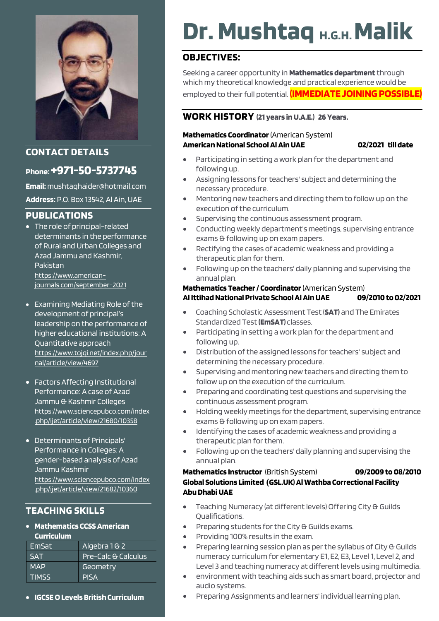

#### **CONTACT DETAILS**

### **Phone:+971-50-5737745**

**Email:** mushtaqhaider@hotmail.com **Address:** P.O. Box 13542, Al Ain, UAE

#### **PUBLICATIONS**

- The role of principal-related determinants in the performance of Rural and Urban Colleges and Azad Jammu and Kashmir, Pakistan [https://www.american](https://www.american-journals.com/september-2021)[journals.com/september-2021](https://www.american-journals.com/september-2021)
- Examining Mediating Role of the development of principal's leadership on the performance of higher educational institutions: A Quantitative approach [https://www.tojqi.net/index.php/jour](https://www.tojqi.net/index.php/journal/article/view/4697) [nal/article/view/4697](https://www.tojqi.net/index.php/journal/article/view/4697)
- Factors Affecting Institutional Performance: A case of Azad Jammu & Kashmir Colleges [https://www.sciencepubco.com/index](https://www.sciencepubco.com/index.php/ijet/article/view/21680/10358) [.php/ijet/article/view/21680/10358](https://www.sciencepubco.com/index.php/ijet/article/view/21680/10358)
- Determinants of Principals' Performance in Colleges: A gender-based analysis of Azad Jammu Kashmir [https://www.sciencepubco.com/index](https://www.sciencepubco.com/index.php/ijet/article/view/21682/10360) [.php/ijet/article/view/21682/10360](https://www.sciencepubco.com/index.php/ijet/article/view/21682/10360)

### **TEACHING SKILLS**

• **Mathematics CCSS American Curriculum**

| EmSat        | Algebra 1 & 2       |
|--------------|---------------------|
| <b>SAT</b>   | Pre-Calc & Calculus |
| <b>MAP</b>   | Geometry            |
| <b>TIMSS</b> | <b>PISA</b>         |

• **IGCSEO Levels British Curriculum**

# **Dr. Mushtaq H.G.H. Malik**

#### **OBJECTIVES:**

Seeking a career opportunity in **Mathematics department**through which my theoretical knowledge and practical experience would be employed to their full potential. **(IMMEDIATE JOINING POSSIBLE)**

#### **WORK HISTORY (21 years in U.A.E.) 26 Years.**

#### **Mathematics Coordinator** (American System) **AmericanNational School Al Ain UAE 02/2021 till date**

- Participating in setting a work plan for the department and following up.
- Assigning lessons for teachers' subject and determining the necessary procedure.
- Mentoring new teachers and directing them to follow up on the execution of the curriculum.
- Supervising the continuous assessment program.
- Conducting weekly department's meetings, supervising entrance exams & following up on exam papers.
- Rectifying the cases of academic weakness and providing a therapeutic plan for them.
- Following up on the teachers' daily planning and supervising the annual plan.

#### **Mathematics Teacher / Coordinator**(American System) **Al Ittihad National Private School Al Ain UAE 09/2010 to 02/2021**

- Coaching Scholastic Assessment Test(**SAT)** and The Emirates Standardized Test**(EmSAT)** classes.
- Participating in setting a work plan for the department and following up.
- Distribution ofthe assigned lessons for teachers' subject and determining the necessary procedure.
- Supervising and mentoring new teachers and directing them to follow up on the execution of the curriculum.
- Preparing and coordinating test questions and supervising the continuous assessment program.
- Holding weekly meetings for the department, supervising entrance exams & following up on exam papers.
- Identifying the cases of academic weakness and providing a therapeutic plan for them.
- Following up on the teachers' daily planning and supervising the annual plan.

#### **Mathematics Instructor** (British System) **09/2009 to 08/2010 Global Solutions Limited (GSL.UK) Al Wathba Correctional Facility Abu Dhabi UAE**

- Teaching Numeracy (at different levels) Offering City & Guilds Qualifications.
- Preparing students for the City & Guilds exams.
- Providing 100% results in the exam.
- Preparing learning session plan as per the syllabus of City & Guilds numeracy curriculum for elementary E1, E2, E3, Level 1, Level 2, and Level 3 and teaching numeracy at different levels using multimedia.
- environment with teaching aids such as smart board, projector and audio systems.
- Preparing Assignments and learners' individual learning plan.